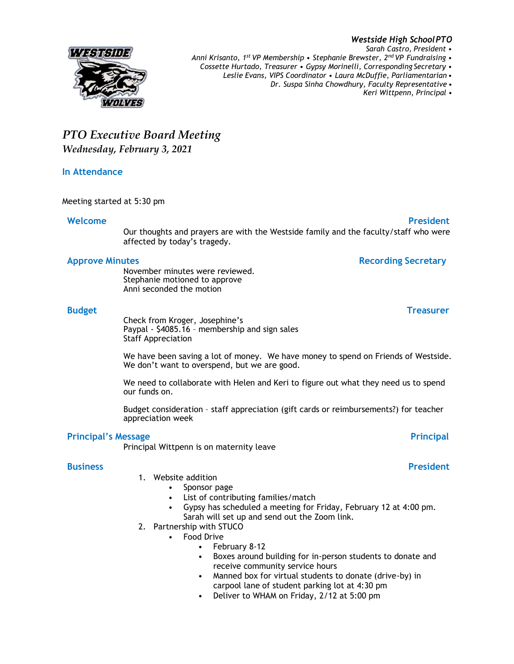### *Sarah Castro, President • Anni Krisanto, 1st VP Membership • Stephanie Brewster, 2nd VP Fundraising • Cossette Hurtado, Treasurer • Gypsy Morinelli, Corresponding Secretary • Leslie Evans, VIPS Coordinator • Laura McDuffie, Parliamentarian • Dr. Suspa Sinha Chowdhury, Faculty Representative • Keri Wittpenn, Principal •*

# *PTO Executive Board Meeting Wednesday, February 3, 2021*

### **In Attendance**

775763111

Meeting started at 5:30 pm

## **Welcome President**

Our thoughts and prayers are with the Westside family and the faculty/staff who were affected by today's tragedy.

### **Approve Minutes Recording Secretary**

November minutes were reviewed. Stephanie motioned to approve Anni seconded the motion

### **Budget Treasurer**

Check from Kroger, Josephine's Paypal - \$4085.16 – membership and sign sales Staff Appreciation

We have been saving a lot of money. We have money to spend on Friends of Westside. We don't want to overspend, but we are good.

We need to collaborate with Helen and Keri to figure out what they need us to spend our funds on.

Budget consideration – staff appreciation (gift cards or reimbursements?) for teacher appreciation week

### **Principal's Message Principal**

Principal Wittpenn is on maternity leave

### **Business President**

- 1. Website addition
	- Sponsor page
	- List of contributing families/match
	- Gypsy has scheduled a meeting for Friday, February 12 at 4:00 pm. Sarah will set up and send out the Zoom link.
- 2. Partnership with STUCO
	- Food Drive
		- February 8-12
		- Boxes around building for in-person students to donate and receive community service hours
		- Manned box for virtual students to donate (drive-by) in carpool lane of student parking lot at 4:30 pm
		- Deliver to WHAM on Friday, 2/12 at 5:00 pm

*Westside High SchoolPTO*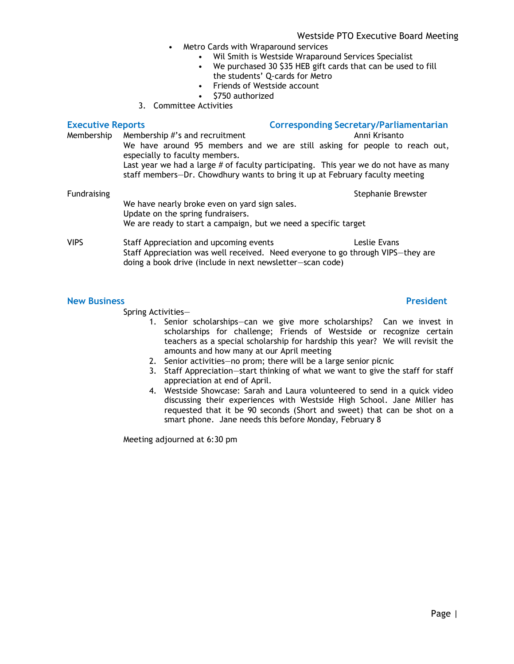### Westside PTO Executive Board Meeting

- Metro Cards with Wraparound services
	- Wil Smith is Westside Wraparound Services Specialist
	- We purchased 30 \$35 HEB gift cards that can be used to fill the students' Q-cards for Metro
	- Friends of Westside account
	- \$750 authorized
- 3. Committee Activities

| <b>Executive Reports</b> |                                                                                                                                                                                        | <b>Corresponding Secretary/Parliamentarian</b> |                    |  |
|--------------------------|----------------------------------------------------------------------------------------------------------------------------------------------------------------------------------------|------------------------------------------------|--------------------|--|
| Membership               | Membership #'s and recruitment                                                                                                                                                         |                                                | Anni Krisanto      |  |
|                          | We have around 95 members and we are still asking for people to reach out,<br>especially to faculty members.                                                                           |                                                |                    |  |
|                          | Last year we had a large # of faculty participating. This year we do not have as many<br>staff members-Dr. Chowdhury wants to bring it up at February faculty meeting                  |                                                |                    |  |
| <b>Fundraising</b>       |                                                                                                                                                                                        |                                                | Stephanie Brewster |  |
|                          | We have nearly broke even on yard sign sales.<br>Update on the spring fundraisers.                                                                                                     |                                                |                    |  |
|                          | We are ready to start a campaign, but we need a specific target                                                                                                                        |                                                |                    |  |
| <b>VIPS</b>              | Staff Appreciation and upcoming events<br>Staff Appreciation was well received. Need everyone to go through VIPS-they are<br>doing a book drive (include in next newsletter-scan code) |                                                | Leslie Evans       |  |

### **New Business President**

Spring Activities—

- 1. Senior scholarships—can we give more scholarships? Can we invest in scholarships for challenge; Friends of Westside or recognize certain teachers as a special scholarship for hardship this year? We will revisit the amounts and how many at our April meeting
- 2. Senior activities—no prom; there will be a large senior picnic
- 3. Staff Appreciation—start thinking of what we want to give the staff for staff appreciation at end of April.
- 4. Westside Showcase: Sarah and Laura volunteered to send in a quick video discussing their experiences with Westside High School. Jane Miller has requested that it be 90 seconds (Short and sweet) that can be shot on a smart phone. Jane needs this before Monday, February 8

Meeting adjourned at 6:30 pm